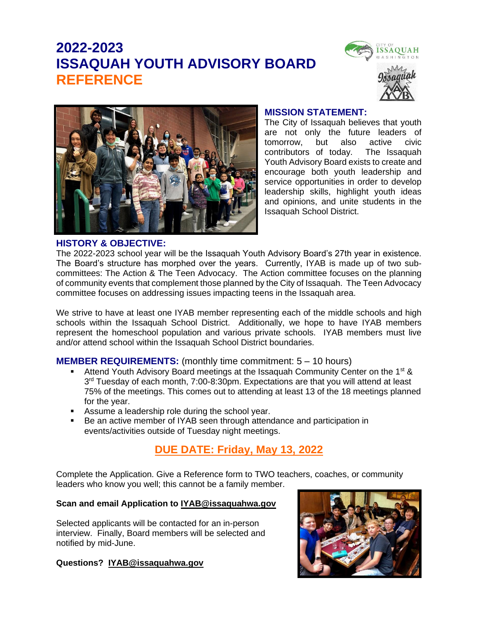# **2022-2023 ISSAQUAH YOUTH ADVISORY BOARD REFERENCE**





#### **MISSION STATEMENT:**

The City of Issaquah believes that youth are not only the future leaders of tomorrow, but also active civic contributors of today. The Issaquah Youth Advisory Board exists to create and encourage both youth leadership and service opportunities in order to develop leadership skills, highlight youth ideas and opinions, and unite students in the Issaquah School District.

#### **HISTORY & OBJECTIVE:**

The 2022-2023 school year will be the Issaquah Youth Advisory Board's 27th year in existence. The Board's structure has morphed over the years. Currently, IYAB is made up of two subcommittees: The Action & The Teen Advocacy. The Action committee focuses on the planning of community events that complement those planned by the City of Issaquah. The Teen Advocacy committee focuses on addressing issues impacting teens in the Issaquah area.

We strive to have at least one IYAB member representing each of the middle schools and high schools within the Issaquah School District. Additionally, we hope to have IYAB members represent the homeschool population and various private schools. IYAB members must live and/or attend school within the Issaquah School District boundaries.

#### **MEMBER REQUIREMENTS:** (monthly time commitment: 5 – 10 hours)

- Attend Youth Advisory Board meetings at the Issaquah Community Center on the 1<sup>st</sup> & 3<sup>rd</sup> Tuesday of each month, 7:00-8:30pm. Expectations are that you will attend at least 75% of the meetings. This comes out to attending at least 13 of the 18 meetings planned for the year.
- Assume a leadership role during the school year.
- Be an active member of IYAB seen through attendance and participation in events/activities outside of Tuesday night meetings.

## **DUE DATE: Friday, May 13, 2022**

Complete the Application. Give a Reference form to TWO teachers, coaches, or community leaders who know you well; this cannot be a family member.

#### **Scan and email Application to [IYAB@issaquahwa.gov](mailto:IYAB@issaquahwa.gov)**

Selected applicants will be contacted for an in-person interview. Finally, Board members will be selected and notified by mid-June.

#### **Questions? [IYAB@issaquahwa.gov](mailto:IYAB@issaquahwa.gov)**